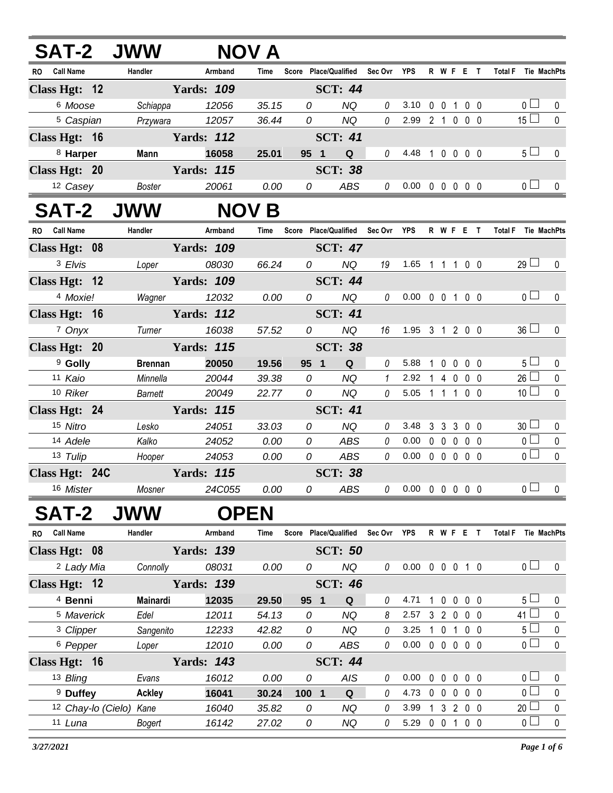|                 |                       | <b>SAT-2 JWW</b>        |                   | <b>NOV</b>   |               |                                   |               |                            |              |              |             |                                 |                     |                 |              |
|-----------------|-----------------------|-------------------------|-------------------|--------------|---------------|-----------------------------------|---------------|----------------------------|--------------|--------------|-------------|---------------------------------|---------------------|-----------------|--------------|
| RO Call Name    |                       | Handler                 | Armband           | <b>Time</b>  |               | Score Place/Qualified Sec Ovr YPS |               |                            |              |              |             | R W F E T                       | Total F Tie MachPts |                 |              |
| Class Hgt: $12$ |                       |                         | <b>Yards: 109</b> |              |               | <b>SCT: 44</b>                    |               |                            |              |              |             |                                 |                     |                 |              |
|                 | 6 Moose               | Schiappa                | 12056             | 35.15        | 0             | NQ                                | 0             | 3.10 0 0 1 0 0             |              |              |             |                                 |                     | 0 <sub>1</sub>  | 0            |
|                 | <sup>5</sup> Caspian  |                         | Przywara 12057    | 36.44        | 0             | <b>NQ</b>                         | $\mathcal{O}$ | 2.99 2 1 0 0 0             |              |              |             |                                 |                     | 15 <sup>L</sup> | $\mathbf{0}$ |
| Class Hgt: 16   |                       |                         | <b>Yards: 112</b> |              |               | <b>SCT: 41</b>                    |               |                            |              |              |             |                                 |                     |                 |              |
|                 | 8 Harper              | Mann                    | 16058             | 25.01        | 95 1          | Q                                 | $\theta$      | 4.48 1 0 0 0 0             |              |              |             |                                 |                     | 5 <sub>1</sub>  | $\mathbf 0$  |
| Class Hgt: 20   |                       |                         | <b>Yards: 115</b> |              |               | <b>SCT: 38</b>                    |               |                            |              |              |             |                                 |                     |                 |              |
|                 | 12 Casey              | Boster                  | 20061             | 0.00         | 0             | ABS                               | 0             | $0.00 \t0 \t0 \t0 \t0 \t0$ |              |              |             |                                 |                     | 0 <sub>l</sub>  | 0            |
|                 |                       | <b>SAT-2 JWW</b>        |                   | <b>NOV B</b> |               |                                   |               |                            |              |              |             |                                 |                     |                 |              |
| RO Call Name    |                       | Handler                 | Armband           | Time         |               | Score Place/Qualified             | Sec Ovr       | YPS                        |              |              |             | <b>RWFET</b>                    | <b>Total F</b>      |                 | Tie MachPts  |
| Class Hgt: 08   |                       |                         | <b>Yards: 109</b> |              |               | <b>SCT: 47</b>                    |               |                            |              |              |             |                                 |                     |                 |              |
|                 | 3 Elvis               | Loper                   | 08030             | 66.24        |               | $\overline{0}$<br>NQ              | 19            | 1.65 1 1 1 0 0             |              |              |             |                                 |                     | $29 \Box$       | 0            |
| Class Hgt: 12   |                       |                         | <b>Yards: 109</b> |              |               | <b>SCT: 44</b>                    |               |                            |              |              |             |                                 |                     |                 |              |
|                 | 4 Moxie!              |                         | Wagner 12032      | 0.00         | 0             | <b>NQ</b>                         | 0             | $0.00 \t0 \t0 \t1 \t0 \t0$ |              |              |             |                                 |                     | 0 <sub>l</sub>  | 0            |
| Class Hgt: 16   |                       |                         | <b>Yards: 112</b> |              |               | <b>SCT: 41</b>                    |               |                            |              |              |             |                                 |                     |                 |              |
|                 | 7 Onyx                | Turner                  | 16038             | 57.52        | 0             | <b>NQ</b>                         | 16            | 1.95 3 1 2 0 0             |              |              |             |                                 |                     | $36 \Box$       | 0            |
| Class Hgt: 20   |                       |                         | <b>Yards: 115</b> |              |               | <b>SCT: 38</b>                    |               |                            |              |              |             |                                 |                     |                 |              |
|                 | <sup>9</sup> Golly    | <b>Brennan</b>          | 20050             | 19.56        | 95 1          | Q                                 | $\theta$      | 5.88                       | $\mathbf{1}$ |              |             | $0\ 0\ 0\ 0$                    |                     | 5 <sub>1</sub>  | 0            |
| 11 Kaio         |                       | Minnella                | 20044             | 39.38        | 0             | <b>NQ</b>                         | $\mathbf{1}$  | 2.92                       | 1 4 0 0 0    |              |             |                                 |                     | $26$ $\Box$     | $\pmb{0}$    |
|                 | 10 Riker              | Barnett                 | 20049             | 22.77        | 0             | <b>NQ</b>                         | $\theta$      | 5.05 1 1 1 0 0             |              |              |             |                                 |                     | 10 <sup>1</sup> | $\pmb{0}$    |
| Class Hgt: 24   |                       |                         | <b>Yards: 115</b> |              |               | <b>SCT: 41</b>                    |               |                            |              |              |             |                                 |                     |                 |              |
| 15 Nitro        |                       | Lesko                   | 24051             | 33.03        | 0             | <b>NQ</b>                         | $\theta$      | 3.48                       |              |              |             | 3 3 3 0 0                       |                     | 30 <sup>1</sup> | 0            |
|                 | 14 Adele              | Kalko                   | 24052             | 0.00         | 0             | ABS                               | 0             | 0.00                       |              |              |             | 00000                           |                     | 0 <sub>l</sub>  | $\mathbf 0$  |
| 13 Tulip        |                       | Hooper                  | 24053             | 0.00         | 0             | ABS                               | $\theta$      | 0.00                       |              |              |             | $0\quad 0\quad 0\quad 0\quad 0$ |                     | 0 <sub>0</sub>  | $\mathbf 0$  |
| Class Hgt: 24C  |                       |                         | <b>Yards: 115</b> |              |               | <b>SCT: 38</b>                    |               |                            |              |              |             |                                 |                     |                 |              |
|                 | 16 Mister             | Mosner                  | 24C055            | 0.00         | 0             | ABS                               | 0             | $0.00 \t0 \t0 \t0 \t0 \t0$ |              |              |             |                                 |                     | $\overline{0}$  | 0            |
| <b>SAT-2</b>    |                       | <b>JWW</b>              |                   | <b>OPEN</b>  |               |                                   |               |                            |              |              |             |                                 |                     |                 |              |
| RO Call Name    |                       | Handler                 | Armband           | Time         |               | Score Place/Qualified             | Sec Ovr YPS   |                            |              |              |             | R W F E T                       | Total F Tie MachPts |                 |              |
| Class Hgt: 08   |                       |                         | <b>Yards: 139</b> |              |               | <b>SCT: 50</b>                    |               |                            |              |              |             |                                 |                     |                 |              |
|                 | <sup>2</sup> Lady Mia | Connolly                | 08031             | 0.00         | 0             | <b>NQ</b>                         | 0             | 0.00 0 0 0 1 0             |              |              |             |                                 |                     | 0 <sub>0</sub>  | $\mathbf 0$  |
| Class Hgt: 12   |                       |                         | <b>Yards: 139</b> |              |               | <b>SCT: 46</b>                    |               |                            |              |              |             |                                 |                     |                 |              |
|                 | <sup>4</sup> Benni    | Mainardi                | 12035             | 29.50        | 95 1          | Q                                 | 0             | 4.71                       | 1            | $\mathbf 0$  | $\mathbf 0$ | $0\quad 0$                      |                     | 5 <sup>1</sup>  | 0            |
|                 | 5 Maverick            | Edel                    | 12011             | 54.13        | 0             | ΝQ                                | 8             | 2.57                       |              |              |             | 3 2 0 0 0                       |                     | $41 \Box$       | 0            |
|                 | <sup>3</sup> Clipper  | Sangenito               | 12233             | 42.82        | 0             | <b>NQ</b>                         | 0             | 3.25                       | 1            | $\mathbf 0$  |             | 1 0 0                           |                     | 5 <sup>1</sup>  | 0            |
|                 | <sup>6</sup> Pepper   | Loper                   | 12010             | 0.00         | 0             | ABS                               | $\theta$      | 0.00                       |              |              |             | 00000                           |                     | 0 <sub>0</sub>  | $\mathbf 0$  |
| Class Hgt: 16   |                       |                         | <b>Yards: 143</b> |              |               | <b>SCT: 44</b>                    |               |                            |              |              |             |                                 |                     |                 |              |
|                 | 13 Bling              | Evans                   | 16012             | 0.00         | 0             | AIS                               | 0             | 0.00                       |              | $0\quad 0$   |             | $0\quad 0\quad 0$               |                     | 0 <sub>0</sub>  | 0            |
|                 | <sup>9</sup> Duffey   | <b>Ackley</b>           | 16041             | 30.24        | $100 \quad 1$ | Q                                 | 0             | 4.73                       |              | $0\quad 0$   | $\mathbf 0$ | $0\quad 0$                      |                     | 0 <sub>0</sub>  | 0            |
|                 |                       | 12 Chay-lo (Cielo) Kane | 16040             | 35.82        | 0             | NQ                                | 0             | 3.99                       | $\mathbf{1}$ | $\mathbf{3}$ |             | 200                             |                     | 20 <sup>L</sup> | $\mathbf 0$  |
|                 | 11 Luna               | Bogert                  | 16142             | 27.02        | 0             | NQ                                | 0             | 5.29 0 0 1 0 0             |              |              |             |                                 |                     | 0 <sub>1</sub>  | $\mathbf 0$  |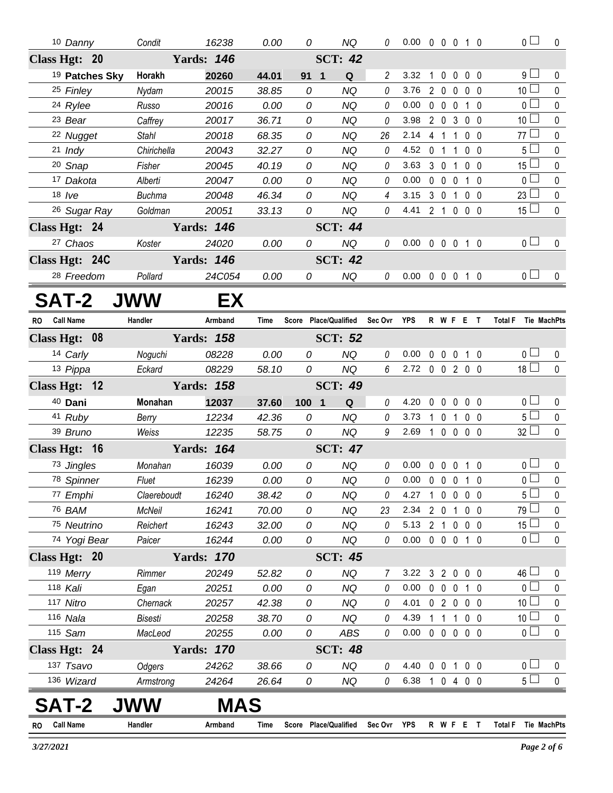| 10 Danny                  | Condit         | 16238             | 0.00  | 0                                 | <b>NQ</b>      | 0               | 0.00 0 0 0 1 0             |              |                   |                   |           | $\overline{0}$                | $\mathbf 0$  |
|---------------------------|----------------|-------------------|-------|-----------------------------------|----------------|-----------------|----------------------------|--------------|-------------------|-------------------|-----------|-------------------------------|--------------|
| Class Hgt: 20             |                | <b>Yards: 146</b> |       |                                   | <b>SCT: 42</b> |                 |                            |              |                   |                   |           |                               |              |
| <sup>19</sup> Patches Sky | Horakh         | 20260             | 44.01 | 91 <sub>1</sub>                   | Q              | $\overline{2}$  | 3.32                       | $\mathbf{1}$ | $\overline{0}$    | $0\quad 0\quad 0$ |           | 9 <sub>1</sub>                | 0            |
| 25 Finley                 | Nydam          | 20015             | 38.85 | 0                                 | <b>NQ</b>      | 0               | 3.76                       |              | 2 0 0 0 0         |                   |           | 10 <sup>2</sup>               | $\mathbf 0$  |
| <sup>24</sup> Rylee       | Russo          | 20016             | 0.00  | 0                                 | <b>NQ</b>      | 0               | 0.00                       |              | $0\quad 0\quad 0$ | $1\quad0$         |           | $\overline{0}$                | 0            |
| 23 Bear                   | Caffrey        | 20017             | 36.71 | 0                                 | <b>NQ</b>      | 0               | 3.98                       |              | 2 0 3 0 0         |                   |           | 10 <sup>1</sup>               | 0            |
| 22 Nugget                 | <b>Stahl</b>   | 20018             | 68.35 | 0                                 | <b>NQ</b>      | 26              | 2.14                       |              | 4 1 1             | 0 <sub>0</sub>    |           | 77 $\Box$                     | 0            |
| $21$ Indy                 | Chirichella    | 20043             | 32.27 | 0                                 | <b>NQ</b>      | 0               | 4.52                       |              | 0 1 1 0 0         |                   |           | 5 <sub>1</sub>                | $\mathbf 0$  |
| 20 Snap                   | Fisher         | 20045             | 40.19 | 0                                 | <b>NQ</b>      | 0               | 3.63                       |              | 301               | 0 <sub>0</sub>    |           | $15\square$                   | 0            |
| 17 Dakota                 | Alberti        | 20047             | 0.00  | 0                                 | <b>NQ</b>      | 0               | 0.00                       |              | $0\quad 0\quad 0$ | $1\quad0$         |           | $\overline{0}$                | 0            |
| $18$ /ve                  | <b>Buchma</b>  | 20048             | 46.34 | 0                                 | <b>NQ</b>      | $\overline{4}$  | 3.15                       |              | 3 0 1             | 0 <sub>0</sub>    |           | 23 <sup>1</sup>               | $\pmb{0}$    |
| <sup>26</sup> Sugar Ray   | Goldman        | 20051             | 33.13 | 0                                 | <b>NQ</b>      | $\mathcal{O}$   | 4.41 2 1 0 0 0             |              |                   |                   |           | $15\Box$                      | $\mathbf 0$  |
| Class Hgt: 24             |                | <b>Yards: 146</b> |       |                                   | <b>SCT: 44</b> |                 |                            |              |                   |                   |           |                               |              |
| 27 Chaos                  | Koster         | 24020             | 0.00  | 0                                 | <b>NQ</b>      | $\theta$        | 0.00 0 0 0 1 0             |              |                   |                   |           | $0$ $\Box$                    | $\mathbf 0$  |
| Class Hgt: 24C            |                | <b>Yards: 146</b> |       |                                   | <b>SCT: 42</b> |                 |                            |              |                   |                   |           |                               |              |
| <sup>28</sup> Freedom     | Pollard        | 24C054            | 0.00  | 0                                 | NQ             | $\mathcal O$    | 0.00 0 0 0 1 0             |              |                   |                   |           | 0 <sub>1</sub>                | 0            |
| <b>SAT-2 JWW</b>          |                | EX                |       |                                   |                |                 |                            |              |                   |                   |           |                               |              |
| RO Call Name              | Handler        | Armband           | Time  | Score Place/Qualified Sec Ovr YPS |                |                 |                            |              |                   |                   | R W F E T | Total F Tie MachPts           |              |
| Class Hgt: 08             |                | <b>Yards: 158</b> |       |                                   | <b>SCT: 52</b> |                 |                            |              |                   |                   |           |                               |              |
| 14 Carly                  | Noguchi        | 08228             | 0.00  | 0                                 | <b>NQ</b>      | 0               | 0.00                       |              | $0\quad 0\quad 0$ | $1\quad0$         |           | 0 <sup>1</sup>                | $\mathbf{0}$ |
| 13 Pippa                  | Eckard         | 08229             | 58.10 | 0                                 | <b>NQ</b>      | $6\overline{6}$ | 2.72 0 0 2 0 0             |              |                   |                   |           | $18$ $\Box$                   | $\mathbf 0$  |
| Class Hgt: 12             |                | <b>Yards: 158</b> |       |                                   | <b>SCT: 49</b> |                 |                            |              |                   |                   |           |                               |              |
| 40 Dani                   | Monahan        | 12037             | 37.60 | 100 1                             | Q              | 0               | 4.20                       |              | 00000             |                   |           | 0 <sub>1</sub>                | 0            |
| 41 Ruby                   | Berry          | 12234             | 42.36 | 0                                 | <b>NQ</b>      | $\theta$        | 3.73                       |              | 1 0 1 0 0         |                   |           | $5\Box$                       | $\mathbf 0$  |
| 39 Bruno                  | Weiss          | 12235             | 58.75 | 0                                 | <b>NQ</b>      | 9               | 2.69                       | 1 0 0 0 0    |                   |                   |           | $32 \Box$                     | $\mathbf{0}$ |
| Class Hgt: 16             |                | <b>Yards: 164</b> |       |                                   | <b>SCT: 47</b> |                 |                            |              |                   |                   |           |                               |              |
| 73 Jingles                | Monahan        | 16039             | 0.00  | 0                                 | <b>NQ</b>      | 0               | 0.00                       |              | 0 0 0 1 0         |                   |           | $\overline{0}$                | 0            |
| 78 Spinner                | Fluet          | 16239             | 0.00  | 0                                 | <b>NQ</b>      | 0               | $0.00 \t0 \t0 \t0 \t1 \t0$ |              |                   |                   |           | $\overline{0}$                | $\mathbf 0$  |
| 77 Emphi                  | Claereboudt    | 16240             | 38.42 | 0                                 | <b>NQ</b>      | 0               | 4.27                       | 10000        |                   |                   |           | 5 <sup>1</sup>                | 0            |
| 76 BAM                    | McNeil         | 16241             | 70.00 | 0                                 | <b>NQ</b>      | 23              | 2.34                       |              | 2 0 1 0 0         |                   |           | $79 \Box$                     | 0            |
| 75 Neutrino               | Reichert       | 16243             | 32.00 | 0                                 | <b>NQ</b>      | 0               | 5.13 2 1 0 0 0             |              |                   |                   |           | 15 <sup>1</sup>               | 0            |
| 74 Yogi Bear              | Paicer         | 16244             | 0.00  | 0                                 | <b>NQ</b>      | 0               | $0.00 \t0 \t0 \t0 \t1 \t0$ |              |                   |                   |           | 0 <sup>1</sup>                | $\mathbf 0$  |
| Class Hgt: 20             |                | <b>Yards: 170</b> |       |                                   | <b>SCT: 45</b> |                 |                            |              |                   |                   |           |                               |              |
| 119 Merry                 | Rimmer         | 20249             | 52.82 | 0                                 | <b>NQ</b>      | 7               | 3.22 3 2 0 0 0             |              |                   |                   |           | 46 <sup>1</sup>               | 0            |
| 118 Kali                  | Egan           | 20251             | 0.00  | 0                                 | <b>NQ</b>      | 0               | 0.00                       |              | 0 0 0 1 0         |                   |           | 0 <sub>1</sub>                | 0            |
| 117 Nitro                 | Chernack       | 20257             | 42.38 | 0                                 | <b>NQ</b>      | 0               | 4.01                       |              | 02000             |                   |           | 10 <sup>1</sup>               | 0            |
| 116 Nala                  | <b>Bisesti</b> | 20258             | 38.70 | 0                                 | NQ             | 0               | 4.39                       |              | $1\quad1$         | $1 0 0$           |           | 10 <sup>2</sup>               | 0            |
| 115 Sam                   | MacLeod        | 20255             | 0.00  | 0                                 | ABS            | 0               | 0.00                       |              | 0 0 0 0 0         |                   |           | 0 <sub>1</sub>                | $\pmb{0}$    |
| Class Hgt: 24             |                | <b>Yards: 170</b> |       |                                   | <b>SCT: 48</b> |                 |                            |              |                   |                   |           |                               |              |
| 137 Tsavo                 | Odgers         | 24262             | 38.66 | 0                                 | <b>NQ</b>      | 0               | 4.40                       |              | 0 0 1 0 0         |                   |           | 0 <sub>0</sub>                | 0            |
| 136 Wizard                | Armstrong      | 24264             | 26.64 | 0                                 | NQ             | 0               | 6.38                       |              | 1 0 4 0 0         |                   |           | 5 <sub>1</sub>                | $\mathbf 0$  |
| SAT-2                     |                | MAS               |       |                                   |                |                 |                            |              |                   |                   |           |                               |              |
| <b>Call Name</b><br>RO    | Handler        | Armband           | Time  | Score Place/Qualified             |                | Sec Ovr YPS     |                            |              | R W F E T         |                   |           | <b>Total F</b><br>Tie MachPts |              |

Ξ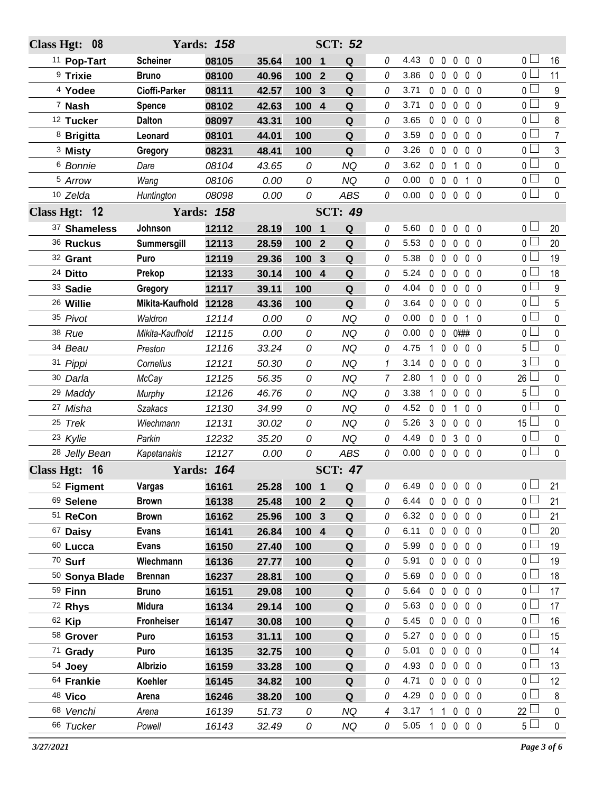| Class Hgt: 08            |                 | <b>Yards: 158</b> |       |                |                  | <b>SCT: 52</b> |                |      |                   |             |                  |                |                       |                  |
|--------------------------|-----------------|-------------------|-------|----------------|------------------|----------------|----------------|------|-------------------|-------------|------------------|----------------|-----------------------|------------------|
| <sup>11</sup> Pop-Tart   | <b>Scheiner</b> | 08105             | 35.64 | 100 1          |                  | Q              | 0              | 4.43 | $\mathbf 0$       | $\mathbf 0$ | $\pmb{0}$        | 0 <sub>0</sub> | $0-$                  | 16               |
| <sup>9</sup> Trixie      | <b>Bruno</b>    | 08100             | 40.96 | 100            | $\overline{2}$   | Q              | 0              | 3.86 | $0\quad 0$        |             | $\mathbf{0}$     | 0 <sub>0</sub> | 0 <sub>0</sub>        | 11               |
| <sup>4</sup> Yodee       | Cioffi-Parker   | 08111             | 42.57 | 100            | $\mathbf{3}$     | Q              | 0              | 3.71 | $0\quad 0$        |             | $\mathbf 0$      | 0 <sub>0</sub> | 0 <sub>0</sub>        | 9                |
| 7 Nash                   | <b>Spence</b>   | 08102             | 42.63 | 100            | $\boldsymbol{4}$ | Q              | 0              | 3.71 | $0\quad 0$        |             | 0                | $0\quad 0$     | $0 -$                 | 9                |
| <sup>12</sup> Tucker     | <b>Dalton</b>   | 08097             | 43.31 | 100            |                  | Q              | 0              | 3.65 | $0\quad 0$        |             | $\mathbf 0$      | 0 <sub>0</sub> | $0-$                  | 8                |
| <sup>8</sup> Brigitta    | Leonard         | 08101             | 44.01 | 100            |                  | Q              | 0              | 3.59 | $0\quad 0$        |             | $\mathbf 0$      | 0 <sub>0</sub> | 0 <sub>1</sub>        | $\overline{7}$   |
| <sup>3</sup> Misty       | Gregory         | 08231             | 48.41 | 100            |                  | Q              | 0              | 3.26 | $\mathbf 0$       | $\mathbf 0$ | $\mathbf 0$      | 0 <sub>0</sub> | $0-$                  | 3                |
| 6 Bonnie                 | Dare            | 08104             | 43.65 | 0              |                  | <b>NQ</b>      | 0              | 3.62 | $0\quad 0$        |             | 1                | 0 <sub>0</sub> | 0 <sub>0</sub>        | $\pmb{0}$        |
| 5 Arrow                  | Wang            | 08106             | 0.00  | 0              |                  | <b>NQ</b>      | 0              | 0.00 | $0\quad 0$        |             | $\overline{0}$   | $1\quad0$      | 0 <sub>0</sub>        | $\pmb{0}$        |
| 10 Zelda                 | Huntington      | 08098             | 0.00  | 0              |                  | ABS            | 0              | 0.00 |                   |             | 00000            |                | $\overline{0}$        | $\mathbf 0$      |
| Class Hgt: 12            |                 | <b>Yards: 158</b> |       |                |                  | <b>SCT: 49</b> |                |      |                   |             |                  |                |                       |                  |
| 37 Shameless             | Johnson         | 12112             | 28.19 | 100 1          |                  | $\mathbf Q$    | $\mathcal O$   | 5.60 | $\mathbf 0$       | $\mathbf 0$ | $\pmb{0}$        | 0 <sub>0</sub> | 0 L                   | 20               |
| 36 Ruckus                | Summersgill     | 12113             | 28.59 | 100            | $\overline{2}$   | Q              | 0              | 5.53 | $0\quad 0$        |             | $\mathbf 0$      | 0 <sub>0</sub> | 0 <sup>1</sup>        | 20               |
| 32 Grant                 | Puro            | 12119             | 29.36 | 100            | $\mathbf{3}$     | Q              | $\Omega$       | 5.38 | $\mathbf 0$       | $\mathbf 0$ | $\mathbf 0$      | 0 <sub>0</sub> | $0-$                  | 19               |
| 24 Ditto                 | Prekop          | 12133             | 30.14 | 100            | $\boldsymbol{4}$ | $\mathbf Q$    | 0              | 5.24 | $\mathbf 0$       | $\mathbf 0$ | 0                | $0\quad 0$     | 0 L                   | 18               |
| 33 Sadie                 | Gregory         | 12117             | 39.11 | 100            |                  | Q              | 0              | 4.04 | $\mathbf 0$       | $\mathbf 0$ | $\mathbf 0$      | 0 <sub>0</sub> | 0 <sub>0</sub>        | $\boldsymbol{9}$ |
| <sup>26</sup> Willie     | Mikita-Kaufhold | 12128             | 43.36 | 100            |                  | Q              | 0              | 3.64 | $0\quad 0$        |             | $\mathbf 0$      | 0 <sub>0</sub> | $0-$                  | 5                |
| 35 Pivot                 | Waldron         | 12114             | 0.00  | 0              |                  | <b>NQ</b>      | 0              | 0.00 | $\mathbf 0$       | $\mathbf 0$ | $\mathbf{0}$     | $1\quad0$      | 0 <sub>0</sub>        | $\mathbf 0$      |
| 38 Rue                   | Mikita-Kaufhold | 12115             | 0.00  | 0              |                  | <b>NQ</b>      | 0              | 0.00 | $\mathbf 0$       | $\mathbf 0$ | $0$ ### 0        |                | 0 <sup>1</sup>        | $\pmb{0}$        |
| 34 Beau                  | Preston         | 12116             | 33.24 | 0              |                  | <b>NQ</b>      | 0              | 4.75 | $\mathbf{1}$      | $\mathbf 0$ | $\mathbf 0$<br>0 | 0              | 5 <sup>1</sup>        | $\mathbf 0$      |
| 31 Pippi                 | Cornelius       | 12121             | 50.30 | 0              |                  | <b>NQ</b>      | 1              | 3.14 | 0                 | $\mathbf 0$ | $\mathbf 0$      | 0 <sub>0</sub> | $3^{\perp}$           | $\mathbf 0$      |
| 30 Darla                 | McCay           | 12125             | 56.35 | 0              |                  | <b>NQ</b>      | $\overline{7}$ | 2.80 | $\mathbf{1}$      | $\mathbf 0$ | 0                | 0 <sub>0</sub> | 26 <sup>1</sup>       | $\mathbf 0$      |
| 29 Maddy                 | Murphy          | 12126             | 46.76 | 0              |                  | <b>NQ</b>      | 0              | 3.38 | $\mathbf{1}$      | $\mathbf 0$ | 0                | $0\quad 0$     | $5+$                  | $\pmb{0}$        |
| 27 Misha                 | <b>Szakacs</b>  | 12130             | 34.99 | 0              |                  | <b>NQ</b>      | 0              | 4.52 | $0\quad 0$        |             | $\mathbf{1}$     | 0 <sub>0</sub> | 0 L                   | $\pmb{0}$        |
| 25 Trek                  | Wiechmann       | 12131             | 30.02 | 0              |                  | <b>NQ</b>      | 0              | 5.26 | 3 <sub>0</sub>    |             | $\mathbf 0$      | 0 <sub>0</sub> | $15$ $\Box$           | $\pmb{0}$        |
| 23 Kylie                 | Parkin          | 12232             | 35.20 | 0              |                  | <b>NQ</b>      | $\Omega$       | 4.49 | $\mathbf 0$       | $\mathbf 0$ | $\mathbf{3}$     | 0 <sub>0</sub> | 0 <sub>1</sub>        | $\pmb{0}$        |
| <sup>28</sup> Jelly Bean | Kapetanakis     | 12127             | 0.00  | 0              |                  | <b>ABS</b>     | 0              | 0.00 | $0\quad 0$        |             | $\mathbf 0$      | 0 <sub>0</sub> | $\overline{0}$        | $\mathbf 0$      |
| Class Hgt: 16            |                 | <b>Yards: 164</b> |       | <b>SCT: 47</b> |                  |                |                |      |                   |             |                  |                |                       |                  |
| 52 Figment               | <b>Vargas</b>   | 16161             | 25.28 | 100            | $\blacksquare$   | $\mathbf Q$    | 0              | 6.49 | $0\quad 0\quad 0$ |             |                  | 0 <sub>0</sub> | 0 ∟                   | 21               |
| 69 Selene                | <b>Brown</b>    | 16138             | 25.48 | 100 2          |                  | Q              | 0              | 6.44 | $0\quad 0$        |             | $\mathbf 0$      | 0 <sub>0</sub> | $\overline{0}$        | 21               |
| 51 ReCon                 | <b>Brown</b>    | 16162             | 25.96 | 100            | $\mathbf{3}$     | Q              | 0              | 6.32 | $0\quad 0$        |             | $\mathbf 0$      | $0\quad 0$     | 0 <sub>0</sub>        | 21               |
| 67 Daisy                 | <b>Evans</b>    | 16141             | 26.84 | 100 4          |                  | Q              | 0              | 6.11 | $0\quad 0$        |             | $\mathbf 0$      | 0 <sub>0</sub> | 0 <sub>0</sub>        | 20               |
| 60 Lucca                 | <b>Evans</b>    | 16150             | 27.40 | 100            |                  | Q              | 0              | 5.99 | $0\quad 0$        |             | $\pmb{0}$        | $0\quad 0$     | 0 <sub>0</sub>        | 19               |
| 70 Surf                  | Wiechmann       | 16136             | 27.77 | 100            |                  | Q              | 0              | 5.91 | $0\quad 0$        |             | $\overline{0}$   | 0 <sub>0</sub> | $_0$ $\Box$           | 19               |
| 50 Sonya Blade           | <b>Brennan</b>  | 16237             | 28.81 | 100            |                  | Q              | 0              | 5.69 | $0\quad 0$        |             | $\mathbf 0$      | $0\quad 0$     | 0 <sub>0</sub>        | 18               |
| 59 Finn                  | <b>Bruno</b>    | 16151             | 29.08 | 100            |                  | Q              | 0              | 5.64 | $0\quad 0$        |             | $\overline{0}$   | 0 <sub>0</sub> | 0 <sub>0</sub>        | 17               |
| 72 Rhys                  | <b>Midura</b>   | 16134             | 29.14 | 100            |                  | Q              | 0              | 5.63 | $0\quad 0$        |             | $\overline{0}$   | $0\quad 0$     | 0 <sub>1</sub>        | 17               |
| 62 Kip                   | Fronheiser      | 16147             | 30.08 | 100            |                  | Q              | 0              | 5.45 | $0\quad 0$        |             | $\overline{0}$   | 0 <sub>0</sub> | $\overline{0}$ $\Box$ | 16               |
| 58 Grover                | Puro            | 16153             | 31.11 | 100            |                  | Q              | 0              | 5.27 | $0\quad 0$        |             | $\mathbf 0$      | $0\quad 0$     | 0 <sub>0</sub>        | 15               |
| 71 Grady                 | Puro            | 16135             | 32.75 | 100            |                  | Q              | 0              | 5.01 | $0\quad 0$        |             | $\pmb{0}$        | 0 <sub>0</sub> | 0 <sub>0</sub>        | 14               |
| 54 Joey                  | <b>Albrizio</b> | 16159             | 33.28 | 100            |                  | Q              | 0              | 4.93 | $0\quad 0$        |             | $\overline{0}$   | $0\quad 0$     | 0 <sub>0</sub>        | 13               |
| 64 Frankie               | Koehler         | 16145             | 34.82 | 100            |                  | Q              | 0              | 4.71 | $0\quad 0$        |             | $\overline{0}$   | 0 <sub>0</sub> | $_0$ $\Box$           | 12               |
| 48 Vico                  | Arena           | 16246             | 38.20 | 100            |                  | Q              | 0              | 4.29 | $0\quad 0$        |             | $\mathbf 0$      | $0\quad 0$     | 0 <sub>0</sub>        | $\bf 8$          |
| 68 Venchi                | Arena           | 16139             | 51.73 | 0              |                  | NQ             | 4              | 3.17 | $1\quad1$         |             | $\mathbf 0$      | $0\quad 0$     | $22$ $-$              | $\pmb{0}$        |
| 66 Tucker                | Powell          | 16143             | 32.49 | 0              |                  | NQ             | 0              | 5.05 | $1 0 0$           |             |                  | $0\quad 0$     | $5 \perp$             | $\mathbf 0$      |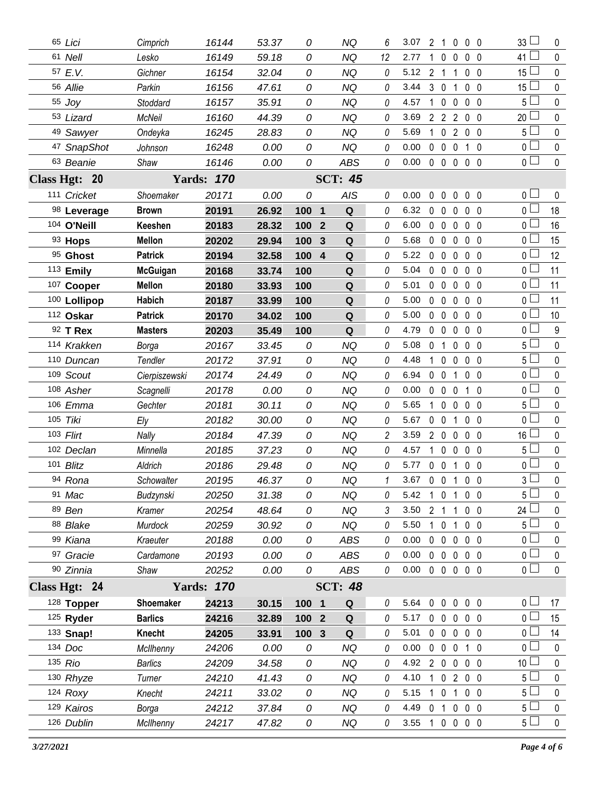| 65 Lici                                              | Cimprich        | 16144             | 53.37 | 0                | NQ                          | 6        | 3.07           | 2 <sub>1</sub> |                     |              | $0\,0\,0$         | 33L             | 0           |
|------------------------------------------------------|-----------------|-------------------|-------|------------------|-----------------------------|----------|----------------|----------------|---------------------|--------------|-------------------|-----------------|-------------|
| 61 Nell                                              | Lesko           | 16149             | 59.18 | 0                | <b>NQ</b>                   | 12       | 2.77           | $\mathbf{1}$   | $\mathbf 0$         | 0            | 0 <sub>0</sub>    | $41 \Box$       | $\mathbf 0$ |
| 57 E.V.                                              | Gichner         | 16154             | 32.04 | 0                | <b>NQ</b>                   | 0        | 5.12           | 2 <sub>1</sub> |                     | 1            | 0 <sub>0</sub>    | 15              | $\mathbf 0$ |
| 56 Allie                                             | Parkin          | 16156             | 47.61 | 0                | <b>NQ</b>                   | 0        | 3.44           | 3 <sub>0</sub> |                     | 1            | 0 <sub>0</sub>    | 15              | $\mathbf 0$ |
| 55 Joy                                               | Stoddard        | 16157             | 35.91 | 0                | <b>NQ</b>                   | 0        | 4.57           | $\mathbf{1}$   | $\mathbf 0$         | $\mathbf 0$  | 0 <sub>0</sub>    | 5               | $\mathbf 0$ |
| 53 Lizard                                            | McNeil          | 16160             | 44.39 | 0                | NQ                          | 0        | 3.69           |                | $2 \quad 2 \quad 2$ |              | $0\quad 0$        | 20              | $\pmb{0}$   |
| 49 Sawyer                                            | Ondeyka         | 16245             | 28.83 | 0                | <b>NQ</b>                   | 0        | 5.69           |                | $1 \quad 0 \quad 2$ |              | $0\quad 0$        | 5               | $\mathbf 0$ |
| 47 SnapShot                                          | Johnson         | 16248             | 0.00  | 0                | <b>NQ</b>                   | 0        | 0.00           |                | $0\quad 0$          | $\mathbf 0$  | $1\quad0$         | 0 <sub>1</sub>  | $\pmb{0}$   |
| 63 Beanie                                            | Shaw            | 16146             | 0.00  | 0                | ABS                         | 0        | 0.00           |                |                     |              | 00000             | 0 <sub>0</sub>  | $\pmb{0}$   |
| Class Hgt: 20                                        |                 | <b>Yards: 170</b> |       |                  | <b>SCT: 45</b>              |          |                |                |                     |              |                   |                 |             |
| 111 Cricket                                          | Shoemaker       | 20171             | 0.00  | 0                | <b>AIS</b>                  | 0        | 0.00           | 0              | $\mathbf 0$         | $\mathbf 0$  | 0 <sub>0</sub>    | 0 <sub>1</sub>  | 0           |
| 98 Leverage                                          | <b>Brown</b>    | 20191             | 26.92 | 100 1            | Q                           | 0        | 6.32           | $0\quad 0$     |                     | 0            | 0 <sub>0</sub>    | $0-$            | 18          |
| 104 O'Neill                                          | Keeshen         | 20183             | 28.32 | 100              | $\mathbf Q$<br>$\mathbf{2}$ | 0        | 6.00           | $0\quad 0$     |                     | $\mathbf 0$  | 0 <sub>0</sub>    | 0 <sub>1</sub>  | 16          |
| 93 Hops                                              | <b>Mellon</b>   | 20202             | 29.94 | 100              | $\mathbf Q$<br>3            | 0        | 5.68           |                | $0\quad 0$          | $\mathbf 0$  | 0 <sub>0</sub>    | $0-$            | 15          |
| 95 Ghost                                             | <b>Patrick</b>  | 20194             | 32.58 | 100 4            | Q                           | 0        | 5.22           | $\mathbf 0$    | $\mathbf 0$         | $\mathbf 0$  | $0\quad 0$        | 0 <sub>0</sub>  | 12          |
| 113 Emily                                            | <b>McGuigan</b> | 20168             | 33.74 | 100              | Q                           | 0        | 5.04           | $0\quad 0$     |                     | 0            | $0\quad 0$        | 0 L             | 11          |
| 107 Cooper                                           | <b>Mellon</b>   | 20180             | 33.93 | 100              | ${\bf Q}$                   | 0        | 5.01           |                | $0\quad 0$          | $\mathbf 0$  | 0 <sub>0</sub>    | 0 <sub>0</sub>  | 11          |
| 100 Lollipop                                         | <b>Habich</b>   | 20187             | 33.99 | 100              | Q                           | 0        | 5.00           |                | $0\quad 0$          | $\mathbf 0$  | 0 <sub>0</sub>    | 0 <sub>0</sub>  | 11          |
| 112 Oskar                                            | <b>Patrick</b>  | 20170             | 34.02 | 100              | ${\bf Q}$                   | 0        | 5.00           | $0\quad 0$     |                     | $\mathbf 0$  | $0\quad 0$        | 0 <sub>1</sub>  | 10          |
| 92 T Rex                                             | <b>Masters</b>  | 20203             | 35.49 | 100              | Q                           | 0        | 4.79           |                | $0\quad 0$          | $\mathbf 0$  | $0\quad 0$        | 0 <sub>0</sub>  | 9           |
| 114 Krakken                                          | Borga           | 20167             | 33.45 | 0                | <b>NQ</b>                   | 0        | 5.08           | 0 <sub>1</sub> |                     | $\mathbf 0$  | $0\quad 0$        | 5 <sub>1</sub>  | $\mathbf 0$ |
| 110 Duncan                                           | Tendler         | 20172             | 37.91 | 0                | <b>NQ</b>                   | 0        | 4.48           |                | $1\quad0$           | 0            | 0 <sub>0</sub>    | 5 <sup>1</sup>  | $\mathbf 0$ |
| 109 Scout                                            | Cierpiszewski   | 20174             | 24.49 | 0                | <b>NQ</b>                   | 0        | 6.94           | $0\quad 0$     |                     | 1            | 0 <sub>0</sub>    | 0 <sub>1</sub>  | $\mathbf 0$ |
| 108 Asher                                            | Scagnelli       | 20178             | 0.00  | 0                | <b>NQ</b>                   | 0        | 0.00           |                | $0\quad 0$          | 0            | 1 0               | 0 <sub>1</sub>  | $\mathbf 0$ |
| 106 Emma                                             | Gechter         | 20181             | 30.11 | 0                | <b>NQ</b>                   | 0        | 5.65           | $\mathbf{1}$   | $\mathbf 0$         | $\mathbf 0$  | $0\quad 0$        | 5 <sub>1</sub>  | $\pmb{0}$   |
| 105 Tiki                                             | Ely             | 20182             | 30.00 | 0                | <b>NQ</b>                   | 0        | 5.67           | $0\quad 0$     |                     | 1            | 0 <sub>0</sub>    | 0 <sub>1</sub>  | $\mathbf 0$ |
| 103 Flirt                                            | Nally           | 20184             | 47.39 | 0                | <b>NQ</b>                   | 2        | 3.59           |                | 200                 |              | $0\quad 0$        | 16 <sup>1</sup> | $\pmb{0}$   |
| 102 Declan                                           | Minnella        | 20185             | 37.23 | 0                | <b>NQ</b>                   | 0        | 4.57           |                | $1\quad 0$          | $\mathbf 0$  | $0\quad 0$        | 5 L             | 0           |
| 101 Blitz                                            | Aldrich         | 20186             | 29.48 | 0                | <b>NQ</b>                   | $\Omega$ | 5.77           |                |                     |              | 0 0 1 0 0         | 0 <sub>1</sub>  | $\pmb{0}$   |
| 94 Rona                                              | Schowalter      | 20195             | 46.37 | 0                | NQ                          | 1        | 3.67 0 0 1 0 0 |                |                     |              |                   | 3               | $\mathbf 0$ |
| 91 <i>Mac</i>                                        | Budzynski       | 20250             | 31.38 | 0                | NQ                          | 0        | 5.42           |                |                     |              | 1 0 1 0 0         | 5 <sub>1</sub>  | $\mathbf 0$ |
| 89 Ben                                               | Kramer          | 20254             | 48.64 | 0                | <b>NQ</b>                   | 3        | 3.50           | 2 1            |                     | $\mathbf{1}$ | 0 <sub>0</sub>    | 24 <sup>1</sup> | 0           |
| 88 Blake                                             | Murdock         | 20259             | 30.92 | 0                | <b>NQ</b>                   | 0        | 5.50           |                | 1 0 1               |              | $0\quad 0$        | 5 <sub>1</sub>  | $\pmb{0}$   |
| 99 Kiana                                             | Kraeuter        | 20188             | 0.00  | 0                | <b>ABS</b>                  | 0        | 0.00           |                | $0\quad 0$          |              | $0\quad 0\quad 0$ | 0 L             | 0           |
| 97 Gracie                                            | Cardamone       | 20193             | 0.00  | 0                | ABS                         | 0        | 0.00           |                |                     |              | 00000             | 0 <sup>1</sup>  | $\mathbf 0$ |
| 90 Zinnia                                            | Shaw            | 20252             | 0.00  | 0                | ABS                         | 0        | 0.00           |                |                     |              | 00000             | 0 <sub>1</sub>  | $\mathbf 0$ |
| Class Hgt: 24<br><b>Yards: 170</b><br><b>SCT: 48</b> |                 |                   |       |                  |                             |          |                |                |                     |              |                   |                 |             |
| 128 Topper                                           | Shoemaker       | 24213             | 30.15 | 100 1            | Q                           | 0        | 5.64           |                |                     |              | 00000             | 0 <sup>1</sup>  | 17          |
| 125 Ryder                                            | <b>Barlics</b>  | 24216             | 32.89 | 100 2            | Q                           | 0        | 5.17           |                | $0\quad 0$          | $\mathbf 0$  | $0\quad 0$        | 0 L             | 15          |
| 133 Snap!                                            | Knecht          | 24205             | 33.91 | 100 <sub>3</sub> | Q                           | 0        | 5.01           |                |                     |              | 0 0 0 0 0         | 0 <sub>0</sub>  | 14          |
| 134 Doc                                              | McIlhenny       | 24206             | 0.00  | 0                | NQ                          | 0        | $0.00\,$       |                | $0\quad 0\quad 0$   |              | 10                | 0 L             | 0           |
| 135 Rio                                              | <b>Barlics</b>  | 24209             | 34.58 | 0                | <b>NQ</b>                   | 0        | 4.92 2 0 0 0 0 |                |                     |              |                   | 10 <sup>1</sup> | $\mathbf 0$ |
| 130 Rhyze                                            | Turner          | 24210             | 41.43 | 0                | ΝQ                          | 0        | 4.10           |                |                     |              | 1 0 2 0 0         | 5 l             | 0           |
| $124$ Roxy                                           | Knecht          | 24211             | 33.02 | 0                | <b>NQ</b>                   | 0        | 5.15           |                | 1 0 1               |              | $0\quad 0$        | 5 <sup>L</sup>  | $\pmb{0}$   |
| 129 Kairos                                           | Borga           | 24212             | 37.84 | 0                | <b>NQ</b>                   | 0        | 4.49           | 0 <sub>1</sub> |                     |              | $0\,0\,0$         | 5 <sup>1</sup>  | 0           |
| 126 Dublin                                           | McIlhenny       | 24217             | 47.82 | 0                | NQ                          | 0        | 3.55 1 0 0 0 0 |                |                     |              |                   | 5 <sub>1</sub>  | $\pmb{0}$   |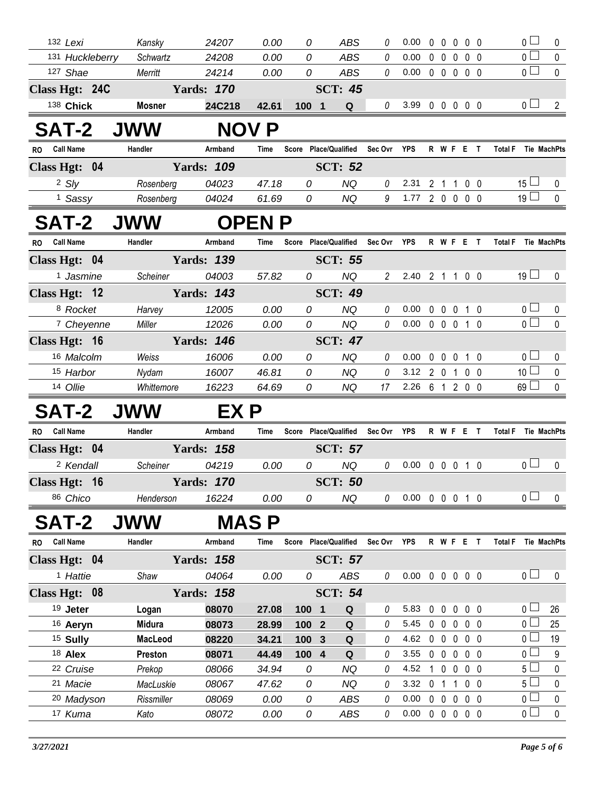|              | 132 Lexi              | Kansky         | 24207             | 0.00         | 0                | ABS                               | 0              | 0.00                       | $\mathbf{0}$   | $\mathbf 0$       | $0\quad 0\quad 0$ |                |                            | $\overline{0}$ $\Box$ | 0              |
|--------------|-----------------------|----------------|-------------------|--------------|------------------|-----------------------------------|----------------|----------------------------|----------------|-------------------|-------------------|----------------|----------------------------|-----------------------|----------------|
|              | 131 Huckleberry       | Schwartz       | 24208             | 0.00         | 0                | <b>ABS</b>                        | 0              | 0.00                       | $0\quad 0$     |                   | $\mathbf 0$       | 0 <sub>0</sub> |                            | $\overline{0}$        | $\pmb{0}$      |
|              | 127 Shae              | Merritt        | 24214             | 0.00         | 0                | <b>ABS</b>                        | $\it{0}$       | 0.00                       |                | $0\quad 0\quad 0$ |                   | 0 <sub>0</sub> |                            | $\overline{0}$        | $\mathbf 0$    |
|              | Class Hgt: 24C        |                | <b>Yards: 170</b> |              | <b>SCT: 45</b>   |                                   |                |                            |                |                   |                   |                |                            |                       |                |
|              | 138 Chick             | <b>Mosner</b>  | 24C218            | 42.61        | 100 1            | Q                                 | 0              | 3.99 0 0 0 0 0             |                |                   |                   |                |                            | 0 <sub>l</sub>        | $\overline{2}$ |
|              | <b>SAT-2</b>          | <b>JWW</b>     |                   | <b>NOV P</b> |                  |                                   |                |                            |                |                   |                   |                |                            |                       |                |
| RO Call Name |                       | Handler        | Armband           | Time         |                  | Score Place/Qualified Sec Ovr YPS |                |                            |                |                   | <b>R W F E T</b>  |                | <b>Total F</b> Tie MachPts |                       |                |
|              | Class Hgt: 04         |                | <b>Yards: 109</b> |              |                  | <b>SCT: 52</b>                    |                |                            |                |                   |                   |                |                            |                       |                |
|              | 2 S/y                 | Rosenberg      | 04023             | 47.18        | 0                | <b>NQ</b>                         | 0              | 2.31                       | 2 <sub>1</sub> |                   | $\mathbf{1}$      | $0\quad 0$     |                            | $15 \Box$             | $\bf{0}$       |
|              | <sup>1</sup> Sassy    | Rosenberg      | 04024             | 61.69        | 0                | <b>NQ</b>                         | 9              | 1.77 2 0 0 0 0             |                |                   |                   |                |                            | 19 <sup>1</sup>       | $\mathbf 0$    |
|              | <b>SAT-2 JWW</b>      |                |                   | <b>OPENP</b> |                  |                                   |                |                            |                |                   |                   |                |                            |                       |                |
| RO Call Name |                       | Handler        | Armband           | Time         |                  | Score Place/Qualified             | Sec Ovr YPS    |                            |                |                   | R W F E T         |                | Total F Tie MachPts        |                       |                |
|              | Class Hgt: 04         |                | <b>Yards: 139</b> |              |                  | <b>SCT: 55</b>                    |                |                            |                |                   |                   |                |                            |                       |                |
|              | <sup>1</sup> Jasmine  | Scheiner       | 04003             | 57.82        | 0                | <b>NQ</b>                         | $\overline{2}$ | 2.40 2 1 1 0 0             |                |                   |                   |                |                            | 19 <sup>1</sup>       | $\mathbf 0$    |
|              | Class Hgt: 12         |                | <b>Yards: 143</b> |              |                  | <b>SCT: 49</b>                    |                |                            |                |                   |                   |                |                            |                       |                |
|              | 8 Rocket              | Harvey         | 12005             | 0.00         | 0                | <b>NQ</b>                         | 0              | 0.00                       |                |                   | 0 0 0 1 0         |                |                            | 0 <sub>0</sub>        | 0              |
|              | <sup>7</sup> Cheyenne | Miller         | 12026             | 0.00         | 0                | <b>NQ</b>                         | $\mathcal O$   | 0.00                       |                |                   | 0 0 0 1 0         |                |                            | $\overline{0}$        | $\mathbf 0$    |
|              | Class Hgt: 16         |                | <b>Yards: 146</b> |              |                  | <b>SCT: 47</b>                    |                |                            |                |                   |                   |                |                            |                       |                |
|              | 16 Malcolm            | Weiss          | 16006             | 0.00         | 0                | <b>NQ</b>                         | $\theta$       | 0.00                       | $0\quad 0$     |                   | $0$ 1 0           |                |                            | $0\perp$              | 0              |
|              | 15 Harbor             | Nydam          | 16007             | 46.81        | 0                | <b>NQ</b>                         | 0              | 3.12                       |                | 201               |                   | 0 <sub>0</sub> |                            | 10 <sup>1</sup>       | $\mathbf 0$    |
|              | 14 Ollie              | Whittemore     | 16223             | 64.69        | 0                | <b>NQ</b>                         | 17             | 2.26 6 1 2 0 0             |                |                   |                   |                |                            | 69                    | $\mathbf 0$    |
|              | <b>SAT-2</b>          | <b>JWW</b>     | EX P              |              |                  |                                   |                |                            |                |                   |                   |                |                            |                       |                |
| <b>RO</b>    | <b>Call Name</b>      | Handler        | Armband           | Time         |                  | Score Place/Qualified             | Sec Ovr YPS    |                            |                |                   | R W F E T         |                | Total F Tie MachPts        |                       |                |
|              | Class Hgt: 04         |                | <b>Yards: 158</b> |              |                  | <b>SCT: 57</b>                    |                |                            |                |                   |                   |                |                            |                       |                |
|              | <sup>2</sup> Kendall  | Scheiner       | 04219             | 0.00         | 0                | <b>NQ</b>                         | 0              | 0.00                       |                |                   | 0 0 0 1 0         |                |                            | 0 <sub>0</sub>        | $\mathbf 0$    |
|              | Class Hgt: 16         |                | <b>Yards: 170</b> |              |                  | <b>SCT: 50</b>                    |                |                            |                |                   |                   |                |                            |                       |                |
|              | 86 Chico              | Henderson      | 16224             | 0.00         | 0                | NQ                                | $\theta$       | $0.00 \t0 \t0 \t0 \t1 \t0$ |                |                   |                   |                |                            | 0 <sub>0</sub>        | 0              |
|              | <b>SAT-2</b>          | <b>JWW</b>     |                   | <b>MAS P</b> |                  |                                   |                |                            |                |                   |                   |                |                            |                       |                |
| RO Call Name |                       | Handler        | Armband           | Time         |                  | Score Place/Qualified             | Sec Ovr YPS    |                            |                |                   | R W F E T         |                | <b>Total F</b>             | Tie MachPts           |                |
|              | Class Hgt: 04         |                | <b>Yards: 158</b> |              |                  | <b>SCT: 57</b>                    |                |                            |                |                   |                   |                |                            |                       |                |
|              | <sup>1</sup> Hattie   | Shaw           | 04064             | 0.00         | 0                | ABS                               | 0              | $0.00 \t0 \t0 \t0 \t0 \t0$ |                |                   |                   |                |                            | $\overline{0}$ $\Box$ | 0              |
|              | Class Hgt: 08         |                | <b>Yards: 158</b> |              |                  | <b>SCT: 54</b>                    |                |                            |                |                   |                   |                |                            |                       |                |
|              | 19 Jeter              | Logan          | 08070             | 27.08        | 100 1            | Q                                 | 0              | 5.83                       | $0\quad 0$     |                   | $\mathbf 0$       | $0\quad 0$     |                            | 0 <sub>1</sub>        | 26             |
|              | 16 Aeryn              | <b>Midura</b>  | 08073             | 28.99        | $1002$           | ${\bf Q}$                         | 0              | 5.45                       |                |                   | 00000             |                |                            | $0-$                  | 25             |
|              | <sup>15</sup> Sully   | <b>MacLeod</b> | 08220             | 34.21        | 100 <sub>3</sub> | $\mathbf Q$                       | 0              | 4.62                       |                |                   | 00000             |                |                            | 0 <sub>1</sub>        | 19             |
|              | 18 Alex               | Preston        | 08071             | 44.49        | 100 4            | $\mathbf Q$                       | 0              | 3.55                       |                | $0\quad 0\quad 0$ |                   | $0\quad 0$     |                            | 0 <sub>l</sub>        | 9              |
|              | 22 Cruise             | Prekop         | 08066             | 34.94        | 0                | <b>NQ</b>                         | 0              | 4.52                       |                |                   | 1 0 0 0 0         |                |                            | 5 <sub>1</sub>        | $\mathbf 0$    |
|              | 21 Macie              | MacLuskie      | 08067             | 47.62        | 0                | <b>NQ</b>                         | 0              | 3.32                       | 0 <sub>1</sub> |                   | 100               |                |                            | 5 <sup>L</sup>        | 0              |
|              | 20 Madyson            | Rissmiller     | 08069             | 0.00         | 0                | ABS                               | 0              | 0.00                       |                |                   | 00000             |                |                            | 0 <sub>0</sub>        | $\pmb{0}$      |
|              | 17 Kuma               | Kato           | 08072             | 0.00         | 0                | ABS                               | 0              | 0.00                       |                |                   | 00000             |                |                            | 0 <sub>1</sub>        | $\pmb{0}$      |